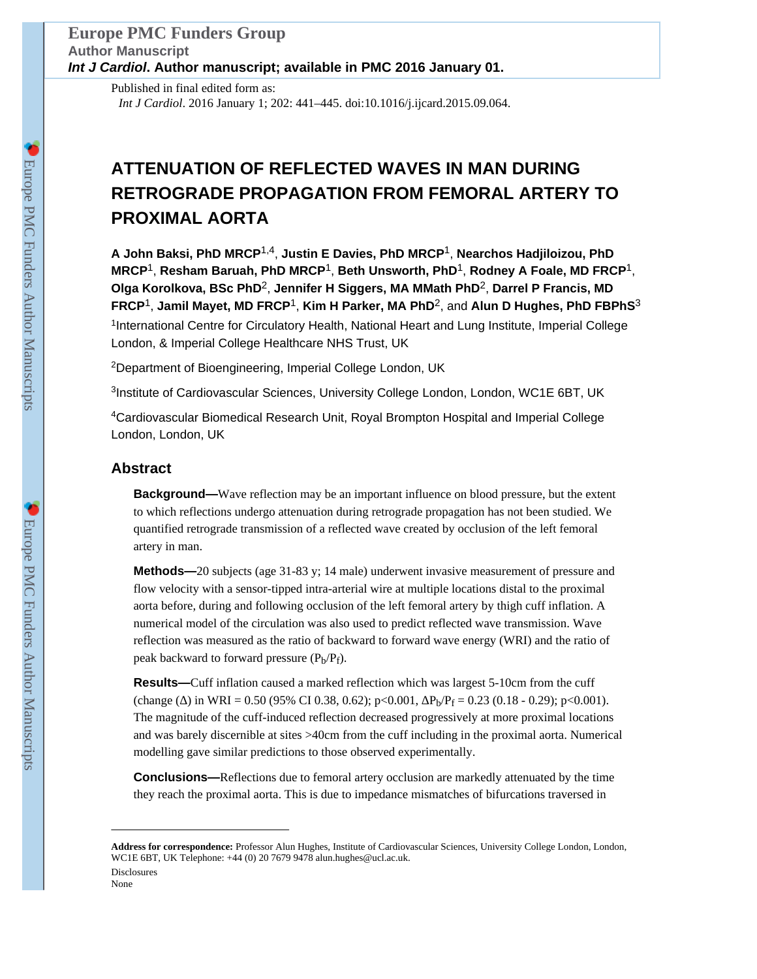Published in final edited form as: *Int J Cardiol*. 2016 January 1; 202: 441–445. doi:10.1016/j.ijcard.2015.09.064.

# **ATTENUATION OF REFLECTED WAVES IN MAN DURING RETROGRADE PROPAGATION FROM FEMORAL ARTERY TO PROXIMAL AORTA**

**A John Baksi, PhD MRCP**1,4, **Justin E Davies, PhD MRCP**1, **Nearchos Hadjiloizou, PhD MRCP**1, **Resham Baruah, PhD MRCP**1, **Beth Unsworth, PhD**1, **Rodney A Foale, MD FRCP**1, **Olga Korolkova, BSc PhD**2, **Jennifer H Siggers, MA MMath PhD**2, **Darrel P Francis, MD FRCP**1, **Jamil Mayet, MD FRCP**1, **Kim H Parker, MA PhD**2, and **Alun D Hughes, PhD FBPhS**<sup>3</sup> <sup>1</sup>International Centre for Circulatory Health, National Heart and Lung Institute, Imperial College London, & Imperial College Healthcare NHS Trust, UK

<sup>2</sup>Department of Bioengineering, Imperial College London, UK

<sup>3</sup>Institute of Cardiovascular Sciences, University College London, London, WC1E 6BT, UK

<sup>4</sup>Cardiovascular Biomedical Research Unit, Royal Brompton Hospital and Imperial College London, London, UK

## **Abstract**

**Background—**Wave reflection may be an important influence on blood pressure, but the extent to which reflections undergo attenuation during retrograde propagation has not been studied. We quantified retrograde transmission of a reflected wave created by occlusion of the left femoral artery in man.

**Methods—**20 subjects (age 31-83 y; 14 male) underwent invasive measurement of pressure and flow velocity with a sensor-tipped intra-arterial wire at multiple locations distal to the proximal aorta before, during and following occlusion of the left femoral artery by thigh cuff inflation. A numerical model of the circulation was also used to predict reflected wave transmission. Wave reflection was measured as the ratio of backward to forward wave energy (WRI) and the ratio of peak backward to forward pressure  $(P_b/P_f)$ .

**Results—**Cuff inflation caused a marked reflection which was largest 5-10cm from the cuff (change () in WRI = 0.50 (95% CI 0.38, 0.62); p<0.001,  $P_b/P_f = 0.23$  (0.18 - 0.29); p<0.001). The magnitude of the cuff-induced reflection decreased progressively at more proximal locations and was barely discernible at sites >40cm from the cuff including in the proximal aorta. Numerical modelling gave similar predictions to those observed experimentally.

**Conclusions—**Reflections due to femoral artery occlusion are markedly attenuated by the time they reach the proximal aorta. This is due to impedance mismatches of bifurcations traversed in

**Address for correspondence:** Professor Alun Hughes, Institute of Cardiovascular Sciences, University College London, London, WC1E 6BT, UK Telephone: +44 (0) 20 7679 9478 alun.hughes@ucl.ac.uk. Disclosures

None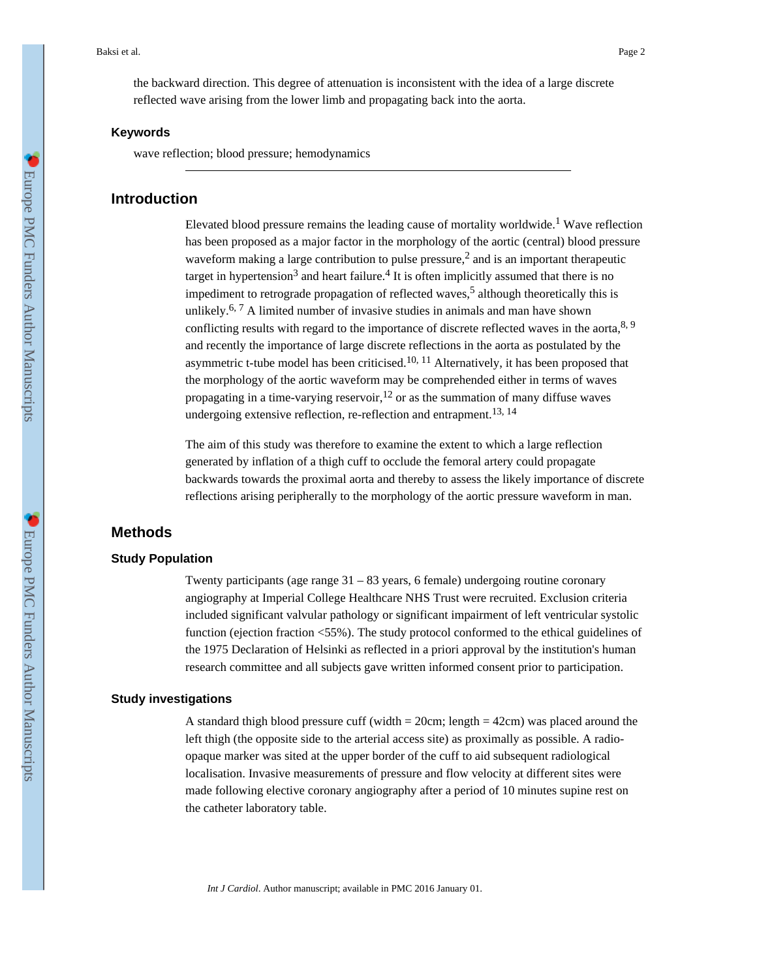the backward direction. This degree of attenuation is inconsistent with the idea of a large discrete reflected wave arising from the lower limb and propagating back into the aorta.

#### **Keywords**

wave reflection; blood pressure; hemodynamics

## **Introduction**

Elevated blood pressure remains the leading cause of mortality worldwide.<sup>1</sup> Wave reflection has been proposed as a major factor in the morphology of the aortic (central) blood pressure waveform making a large contribution to pulse pressure, $<sup>2</sup>$  and is an important therapeutic</sup> target in hypertension<sup>3</sup> and heart failure.<sup>4</sup> It is often implicitly assumed that there is no impediment to retrograde propagation of reflected waves,<sup>5</sup> although theoretically this is unlikely.<sup>6, 7</sup> A limited number of invasive studies in animals and man have shown conflicting results with regard to the importance of discrete reflected waves in the aorta,  $8, 9$ and recently the importance of large discrete reflections in the aorta as postulated by the asymmetric t-tube model has been criticised.<sup>10, 11</sup> Alternatively, it has been proposed that the morphology of the aortic waveform may be comprehended either in terms of waves propagating in a time-varying reservoir,  $12$  or as the summation of many diffuse waves undergoing extensive reflection, re-reflection and entrapment.<sup>13, 14</sup>

The aim of this study was therefore to examine the extent to which a large reflection generated by inflation of a thigh cuff to occlude the femoral artery could propagate backwards towards the proximal aorta and thereby to assess the likely importance of discrete reflections arising peripherally to the morphology of the aortic pressure waveform in man.

## **Methods**

## **Study Population**

Twenty participants (age range 31 – 83 years, 6 female) undergoing routine coronary angiography at Imperial College Healthcare NHS Trust were recruited. Exclusion criteria included significant valvular pathology or significant impairment of left ventricular systolic function (ejection fraction <55%). The study protocol conformed to the ethical guidelines of the 1975 Declaration of Helsinki as reflected in a priori approval by the institution's human research committee and all subjects gave written informed consent prior to participation.

#### **Study investigations**

A standard thigh blood pressure cuff (width  $= 20$ cm; length  $= 42$ cm) was placed around the left thigh (the opposite side to the arterial access site) as proximally as possible. A radioopaque marker was sited at the upper border of the cuff to aid subsequent radiological localisation. Invasive measurements of pressure and flow velocity at different sites were made following elective coronary angiography after a period of 10 minutes supine rest on the catheter laboratory table.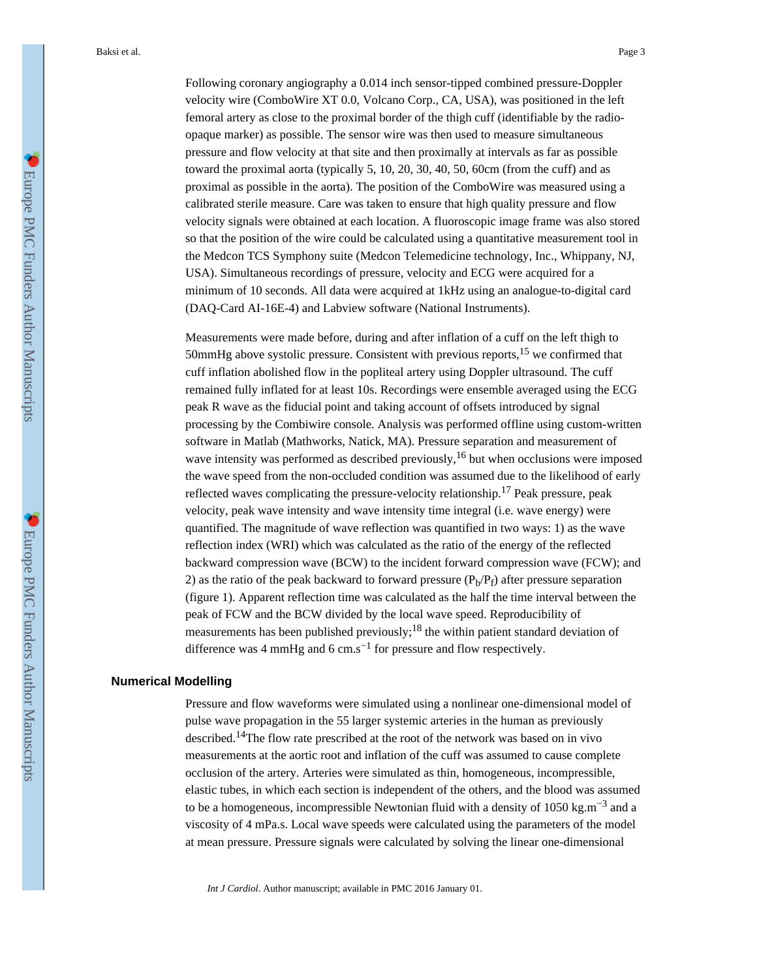Following coronary angiography a 0.014 inch sensor-tipped combined pressure-Doppler velocity wire (ComboWire XT 0.0, Volcano Corp., CA, USA), was positioned in the left femoral artery as close to the proximal border of the thigh cuff (identifiable by the radioopaque marker) as possible. The sensor wire was then used to measure simultaneous pressure and flow velocity at that site and then proximally at intervals as far as possible toward the proximal aorta (typically 5, 10, 20, 30, 40, 50, 60cm (from the cuff) and as proximal as possible in the aorta). The position of the ComboWire was measured using a calibrated sterile measure. Care was taken to ensure that high quality pressure and flow velocity signals were obtained at each location. A fluoroscopic image frame was also stored so that the position of the wire could be calculated using a quantitative measurement tool in the Medcon TCS Symphony suite (Medcon Telemedicine technology, Inc., Whippany, NJ, USA). Simultaneous recordings of pressure, velocity and ECG were acquired for a minimum of 10 seconds. All data were acquired at 1kHz using an analogue-to-digital card (DAQ-Card AI-16E-4) and Labview software (National Instruments).

Measurements were made before, during and after inflation of a cuff on the left thigh to 50mmHg above systolic pressure. Consistent with previous reports,15 we confirmed that cuff inflation abolished flow in the popliteal artery using Doppler ultrasound. The cuff remained fully inflated for at least 10s. Recordings were ensemble averaged using the ECG peak R wave as the fiducial point and taking account of offsets introduced by signal processing by the Combiwire console. Analysis was performed offline using custom-written software in Matlab (Mathworks, Natick, MA). Pressure separation and measurement of wave intensity was performed as described previously,<sup>16</sup> but when occlusions were imposed the wave speed from the non-occluded condition was assumed due to the likelihood of early reflected waves complicating the pressure-velocity relationship.17 Peak pressure, peak velocity, peak wave intensity and wave intensity time integral (i.e. wave energy) were quantified. The magnitude of wave reflection was quantified in two ways: 1) as the wave reflection index (WRI) which was calculated as the ratio of the energy of the reflected backward compression wave (BCW) to the incident forward compression wave (FCW); and 2) as the ratio of the peak backward to forward pressure  $(P_b/P_f)$  after pressure separation (figure 1). Apparent reflection time was calculated as the half the time interval between the peak of FCW and the BCW divided by the local wave speed. Reproducibility of measurements has been published previously;<sup>18</sup> the within patient standard deviation of difference was 4 mmHg and 6 cm.s<sup>-1</sup> for pressure and flow respectively.

#### **Numerical Modelling**

Pressure and flow waveforms were simulated using a nonlinear one-dimensional model of pulse wave propagation in the 55 larger systemic arteries in the human as previously described.14The flow rate prescribed at the root of the network was based on in vivo measurements at the aortic root and inflation of the cuff was assumed to cause complete occlusion of the artery. Arteries were simulated as thin, homogeneous, incompressible, elastic tubes, in which each section is independent of the others, and the blood was assumed to be a homogeneous, incompressible Newtonian fluid with a density of 1050 kg.m<sup>-3</sup> and a viscosity of 4 mPa.s. Local wave speeds were calculated using the parameters of the model at mean pressure. Pressure signals were calculated by solving the linear one-dimensional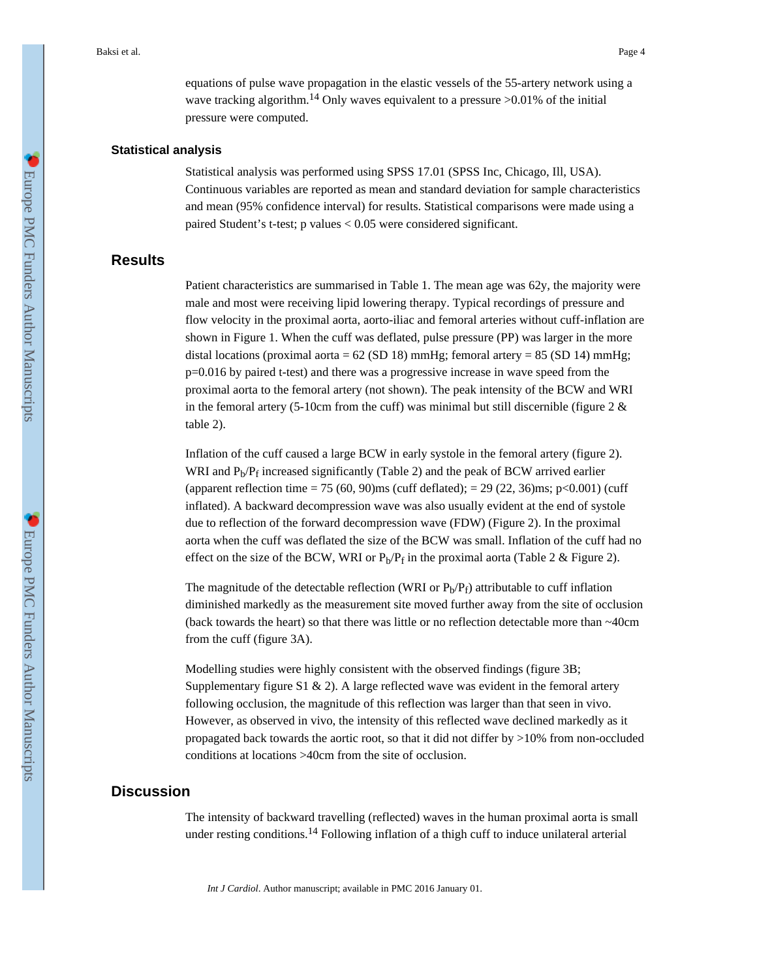equations of pulse wave propagation in the elastic vessels of the 55-artery network using a wave tracking algorithm.<sup>14</sup> Only waves equivalent to a pressure  $>0.01\%$  of the initial pressure were computed.

#### **Statistical analysis**

Statistical analysis was performed using SPSS 17.01 (SPSS Inc, Chicago, Ill, USA). Continuous variables are reported as mean and standard deviation for sample characteristics and mean (95% confidence interval) for results. Statistical comparisons were made using a paired Student's t-test; p values < 0.05 were considered significant.

### **Results**

Patient characteristics are summarised in Table 1. The mean age was 62y, the majority were male and most were receiving lipid lowering therapy. Typical recordings of pressure and flow velocity in the proximal aorta, aorto-iliac and femoral arteries without cuff-inflation are shown in Figure 1. When the cuff was deflated, pulse pressure (PP) was larger in the more distal locations (proximal aorta =  $62$  (SD 18) mmHg; femoral artery =  $85$  (SD 14) mmHg; p=0.016 by paired t-test) and there was a progressive increase in wave speed from the proximal aorta to the femoral artery (not shown). The peak intensity of the BCW and WRI in the femoral artery (5-10cm from the cuff) was minimal but still discernible (figure  $2 \&$ table 2).

Inflation of the cuff caused a large BCW in early systole in the femoral artery (figure 2). WRI and  $P_b/P_f$  increased significantly (Table 2) and the peak of BCW arrived earlier (apparent reflection time = 75 (60, 90)ms (cuff deflated); = 29 (22, 36)ms; p<0.001) (cuff inflated). A backward decompression wave was also usually evident at the end of systole due to reflection of the forward decompression wave (FDW) (Figure 2). In the proximal aorta when the cuff was deflated the size of the BCW was small. Inflation of the cuff had no effect on the size of the BCW, WRI or  $P_b/P_f$  in the proximal aorta (Table 2 & Figure 2).

The magnitude of the detectable reflection (WRI or  $P_b/P_f$ ) attributable to cuff inflation diminished markedly as the measurement site moved further away from the site of occlusion (back towards the heart) so that there was little or no reflection detectable more than ~40cm from the cuff (figure 3A).

Modelling studies were highly consistent with the observed findings (figure 3B; Supplementary figure S1 & 2). A large reflected wave was evident in the femoral artery following occlusion, the magnitude of this reflection was larger than that seen in vivo. However, as observed in vivo, the intensity of this reflected wave declined markedly as it propagated back towards the aortic root, so that it did not differ by >10% from non-occluded conditions at locations >40cm from the site of occlusion.

## **Discussion**

The intensity of backward travelling (reflected) waves in the human proximal aorta is small under resting conditions.<sup>14</sup> Following inflation of a thigh cuff to induce unilateral arterial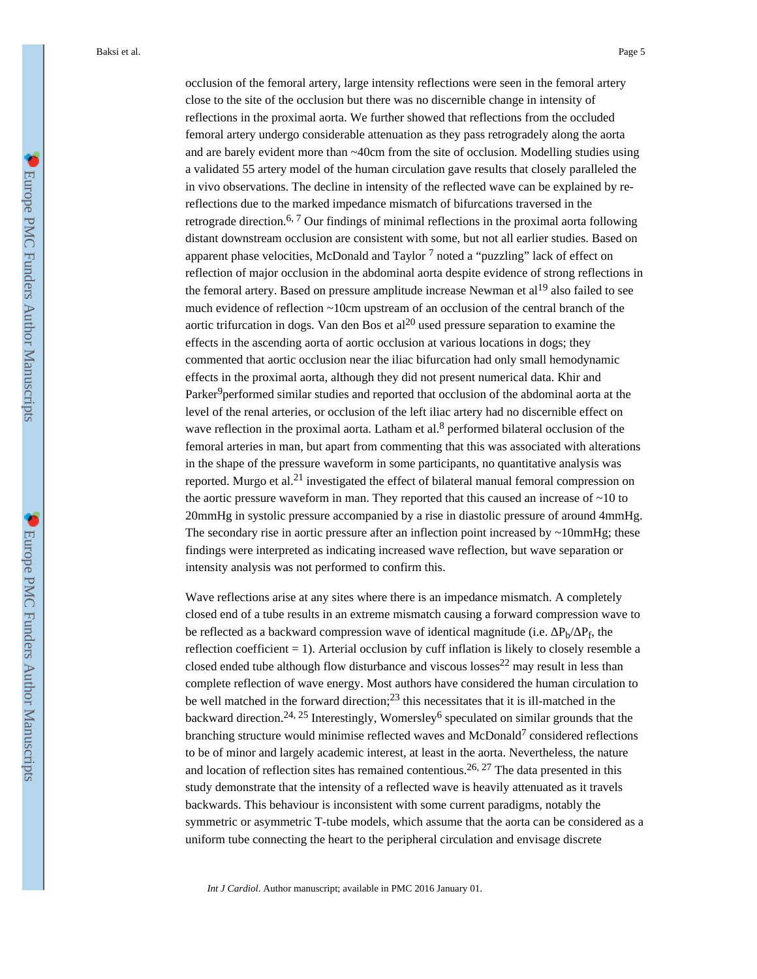Baksi et al. Page 5

occlusion of the femoral artery, large intensity reflections were seen in the femoral artery close to the site of the occlusion but there was no discernible change in intensity of reflections in the proximal aorta. We further showed that reflections from the occluded femoral artery undergo considerable attenuation as they pass retrogradely along the aorta and are barely evident more than ~40cm from the site of occlusion. Modelling studies using a validated 55 artery model of the human circulation gave results that closely paralleled the in vivo observations. The decline in intensity of the reflected wave can be explained by rereflections due to the marked impedance mismatch of bifurcations traversed in the retrograde direction.<sup>6, 7</sup> Our findings of minimal reflections in the proximal aorta following distant downstream occlusion are consistent with some, but not all earlier studies. Based on apparent phase velocities, McDonald and Taylor  $<sup>7</sup>$  noted a "puzzling" lack of effect on</sup> reflection of major occlusion in the abdominal aorta despite evidence of strong reflections in the femoral artery. Based on pressure amplitude increase Newman et  $al<sup>19</sup>$  also failed to see much evidence of reflection ~10cm upstream of an occlusion of the central branch of the aortic trifurcation in dogs. Van den Bos et al<sup>20</sup> used pressure separation to examine the effects in the ascending aorta of aortic occlusion at various locations in dogs; they commented that aortic occlusion near the iliac bifurcation had only small hemodynamic effects in the proximal aorta, although they did not present numerical data. Khir and Parker<sup>9</sup>performed similar studies and reported that occlusion of the abdominal aorta at the level of the renal arteries, or occlusion of the left iliac artery had no discernible effect on wave reflection in the proximal aorta. Latham et al. $8$  performed bilateral occlusion of the femoral arteries in man, but apart from commenting that this was associated with alterations in the shape of the pressure waveform in some participants, no quantitative analysis was reported. Murgo et al.21 investigated the effect of bilateral manual femoral compression on the aortic pressure waveform in man. They reported that this caused an increase of  $\sim$ 10 to 20mmHg in systolic pressure accompanied by a rise in diastolic pressure of around 4mmHg. The secondary rise in aortic pressure after an inflection point increased by ~10mmHg; these findings were interpreted as indicating increased wave reflection, but wave separation or intensity analysis was not performed to confirm this.

Wave reflections arise at any sites where there is an impedance mismatch. A completely closed end of a tube results in an extreme mismatch causing a forward compression wave to be reflected as a backward compression wave of identical magnitude (i.e.  $P_b$ / $P_f$ , the reflection coefficient  $= 1$ ). Arterial occlusion by cuff inflation is likely to closely resemble a closed ended tube although flow disturbance and viscous losses $^{22}$  may result in less than complete reflection of wave energy. Most authors have considered the human circulation to be well matched in the forward direction;<sup>23</sup> this necessitates that it is ill-matched in the backward direction.<sup>24, 25</sup> Interestingly, Womersley<sup>6</sup> speculated on similar grounds that the branching structure would minimise reflected waves and McDonald<sup>7</sup> considered reflections to be of minor and largely academic interest, at least in the aorta. Nevertheless, the nature and location of reflection sites has remained contentious.<sup>26, 27</sup> The data presented in this study demonstrate that the intensity of a reflected wave is heavily attenuated as it travels backwards. This behaviour is inconsistent with some current paradigms, notably the symmetric or asymmetric T-tube models, which assume that the aorta can be considered as a uniform tube connecting the heart to the peripheral circulation and envisage discrete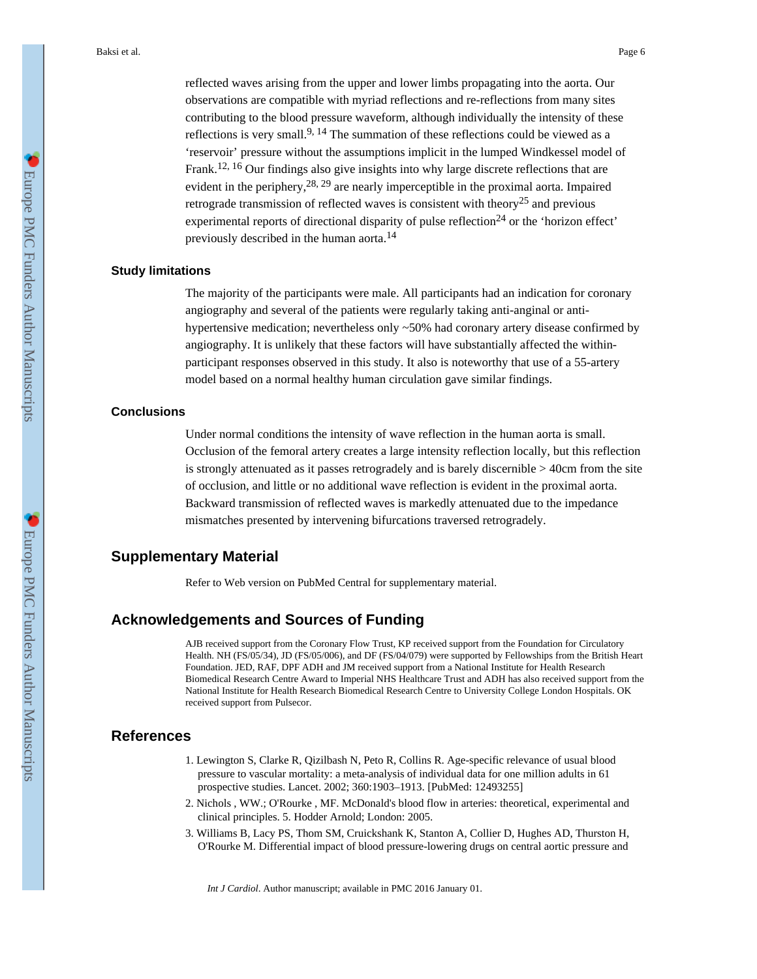Baksi et al. Page 6

reflected waves arising from the upper and lower limbs propagating into the aorta. Our observations are compatible with myriad reflections and re-reflections from many sites contributing to the blood pressure waveform, although individually the intensity of these reflections is very small.<sup>9, 14</sup> The summation of these reflections could be viewed as a 'reservoir' pressure without the assumptions implicit in the lumped Windkessel model of Frank.12, 16 Our findings also give insights into why large discrete reflections that are evident in the periphery,  $28, 29$  are nearly imperceptible in the proximal aorta. Impaired retrograde transmission of reflected waves is consistent with theory<sup>25</sup> and previous experimental reports of directional disparity of pulse reflection<sup>24</sup> or the 'horizon effect' previously described in the human aorta.<sup>14</sup>

#### **Study limitations**

The majority of the participants were male. All participants had an indication for coronary angiography and several of the patients were regularly taking anti-anginal or antihypertensive medication; nevertheless only ~50% had coronary artery disease confirmed by angiography. It is unlikely that these factors will have substantially affected the withinparticipant responses observed in this study. It also is noteworthy that use of a 55-artery model based on a normal healthy human circulation gave similar findings.

#### **Conclusions**

Under normal conditions the intensity of wave reflection in the human aorta is small. Occlusion of the femoral artery creates a large intensity reflection locally, but this reflection is strongly attenuated as it passes retrogradely and is barely discernible > 40cm from the site of occlusion, and little or no additional wave reflection is evident in the proximal aorta. Backward transmission of reflected waves is markedly attenuated due to the impedance mismatches presented by intervening bifurcations traversed retrogradely.

## **Supplementary Material**

Refer to Web version on PubMed Central for supplementary material.

## **Acknowledgements and Sources of Funding**

AJB received support from the Coronary Flow Trust, KP received support from the Foundation for Circulatory Health. NH (FS/05/34), JD (FS/05/006), and DF (FS/04/079) were supported by Fellowships from the British Heart Foundation. JED, RAF, DPF ADH and JM received support from a National Institute for Health Research Biomedical Research Centre Award to Imperial NHS Healthcare Trust and ADH has also received support from the National Institute for Health Research Biomedical Research Centre to University College London Hospitals. OK received support from Pulsecor.

#### **References**

- 1. Lewington S, Clarke R, Qizilbash N, Peto R, Collins R. Age-specific relevance of usual blood pressure to vascular mortality: a meta-analysis of individual data for one million adults in 61 prospective studies. Lancet. 2002; 360:1903–1913. [PubMed: 12493255]
- 2. Nichols , WW.; O'Rourke , MF. McDonald's blood flow in arteries: theoretical, experimental and clinical principles. 5. Hodder Arnold; London: 2005.
- 3. Williams B, Lacy PS, Thom SM, Cruickshank K, Stanton A, Collier D, Hughes AD, Thurston H, O'Rourke M. Differential impact of blood pressure-lowering drugs on central aortic pressure and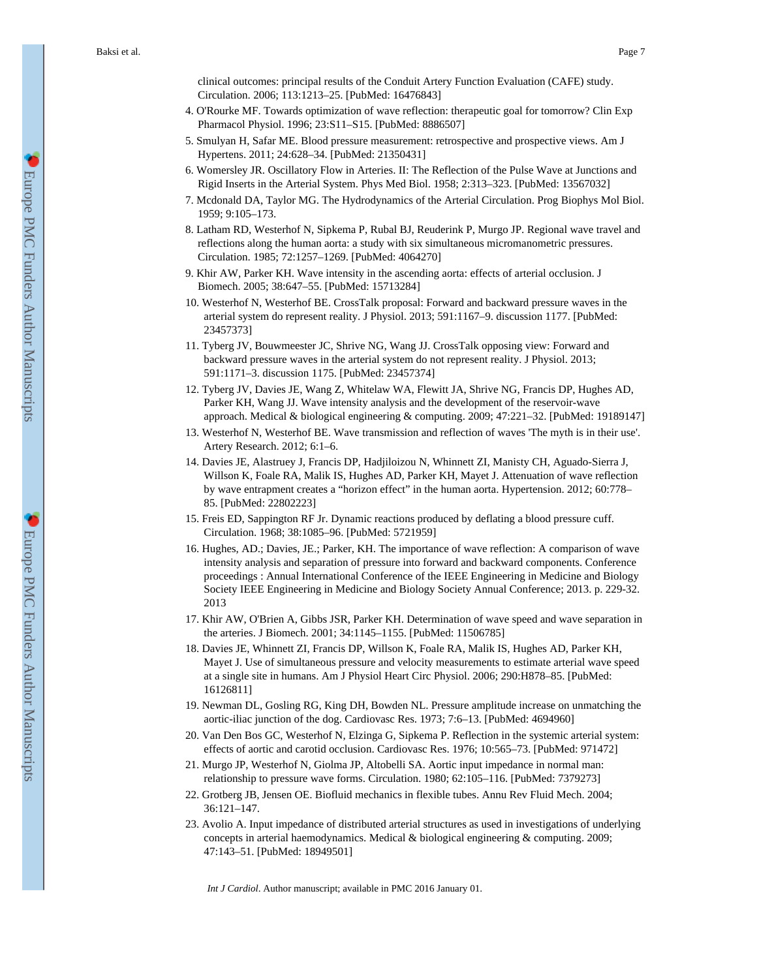clinical outcomes: principal results of the Conduit Artery Function Evaluation (CAFE) study. Circulation. 2006; 113:1213–25. [PubMed: 16476843]

- 4. O'Rourke MF. Towards optimization of wave reflection: therapeutic goal for tomorrow? Clin Exp Pharmacol Physiol. 1996; 23:S11–S15. [PubMed: 8886507]
- 5. Smulyan H, Safar ME. Blood pressure measurement: retrospective and prospective views. Am J Hypertens. 2011; 24:628–34. [PubMed: 21350431]
- 6. Womersley JR. Oscillatory Flow in Arteries. II: The Reflection of the Pulse Wave at Junctions and Rigid Inserts in the Arterial System. Phys Med Biol. 1958; 2:313–323. [PubMed: 13567032]
- 7. Mcdonald DA, Taylor MG. The Hydrodynamics of the Arterial Circulation. Prog Biophys Mol Biol. 1959; 9:105–173.
- 8. Latham RD, Westerhof N, Sipkema P, Rubal BJ, Reuderink P, Murgo JP. Regional wave travel and reflections along the human aorta: a study with six simultaneous micromanometric pressures. Circulation. 1985; 72:1257–1269. [PubMed: 4064270]
- 9. Khir AW, Parker KH. Wave intensity in the ascending aorta: effects of arterial occlusion. J Biomech. 2005; 38:647–55. [PubMed: 15713284]
- 10. Westerhof N, Westerhof BE. CrossTalk proposal: Forward and backward pressure waves in the arterial system do represent reality. J Physiol. 2013; 591:1167–9. discussion 1177. [PubMed: 23457373]
- 11. Tyberg JV, Bouwmeester JC, Shrive NG, Wang JJ. CrossTalk opposing view: Forward and backward pressure waves in the arterial system do not represent reality. J Physiol. 2013; 591:1171–3. discussion 1175. [PubMed: 23457374]
- 12. Tyberg JV, Davies JE, Wang Z, Whitelaw WA, Flewitt JA, Shrive NG, Francis DP, Hughes AD, Parker KH, Wang JJ. Wave intensity analysis and the development of the reservoir-wave approach. Medical & biological engineering & computing. 2009; 47:221–32. [PubMed: 19189147]
- 13. Westerhof N, Westerhof BE. Wave transmission and reflection of waves 'The myth is in their use'. Artery Research. 2012; 6:1–6.
- 14. Davies JE, Alastruey J, Francis DP, Hadjiloizou N, Whinnett ZI, Manisty CH, Aguado-Sierra J, Willson K, Foale RA, Malik IS, Hughes AD, Parker KH, Mayet J. Attenuation of wave reflection by wave entrapment creates a "horizon effect" in the human aorta. Hypertension. 2012; 60:778– 85. [PubMed: 22802223]
- 15. Freis ED, Sappington RF Jr. Dynamic reactions produced by deflating a blood pressure cuff. Circulation. 1968; 38:1085–96. [PubMed: 5721959]
- 16. Hughes, AD.; Davies, JE.; Parker, KH. The importance of wave reflection: A comparison of wave intensity analysis and separation of pressure into forward and backward components. Conference proceedings : Annual International Conference of the IEEE Engineering in Medicine and Biology Society IEEE Engineering in Medicine and Biology Society Annual Conference; 2013. p. 229-32. 2013
- 17. Khir AW, O'Brien A, Gibbs JSR, Parker KH. Determination of wave speed and wave separation in the arteries. J Biomech. 2001; 34:1145–1155. [PubMed: 11506785]
- 18. Davies JE, Whinnett ZI, Francis DP, Willson K, Foale RA, Malik IS, Hughes AD, Parker KH, Mayet J. Use of simultaneous pressure and velocity measurements to estimate arterial wave speed at a single site in humans. Am J Physiol Heart Circ Physiol. 2006; 290:H878–85. [PubMed: 16126811]
- 19. Newman DL, Gosling RG, King DH, Bowden NL. Pressure amplitude increase on unmatching the aortic-iliac junction of the dog. Cardiovasc Res. 1973; 7:6–13. [PubMed: 4694960]
- 20. Van Den Bos GC, Westerhof N, Elzinga G, Sipkema P. Reflection in the systemic arterial system: effects of aortic and carotid occlusion. Cardiovasc Res. 1976; 10:565–73. [PubMed: 971472]
- 21. Murgo JP, Westerhof N, Giolma JP, Altobelli SA. Aortic input impedance in normal man: relationship to pressure wave forms. Circulation. 1980; 62:105–116. [PubMed: 7379273]
- 22. Grotberg JB, Jensen OE. Biofluid mechanics in flexible tubes. Annu Rev Fluid Mech. 2004; 36:121–147.
- 23. Avolio A. Input impedance of distributed arterial structures as used in investigations of underlying concepts in arterial haemodynamics. Medical & biological engineering & computing. 2009; 47:143–51. [PubMed: 18949501]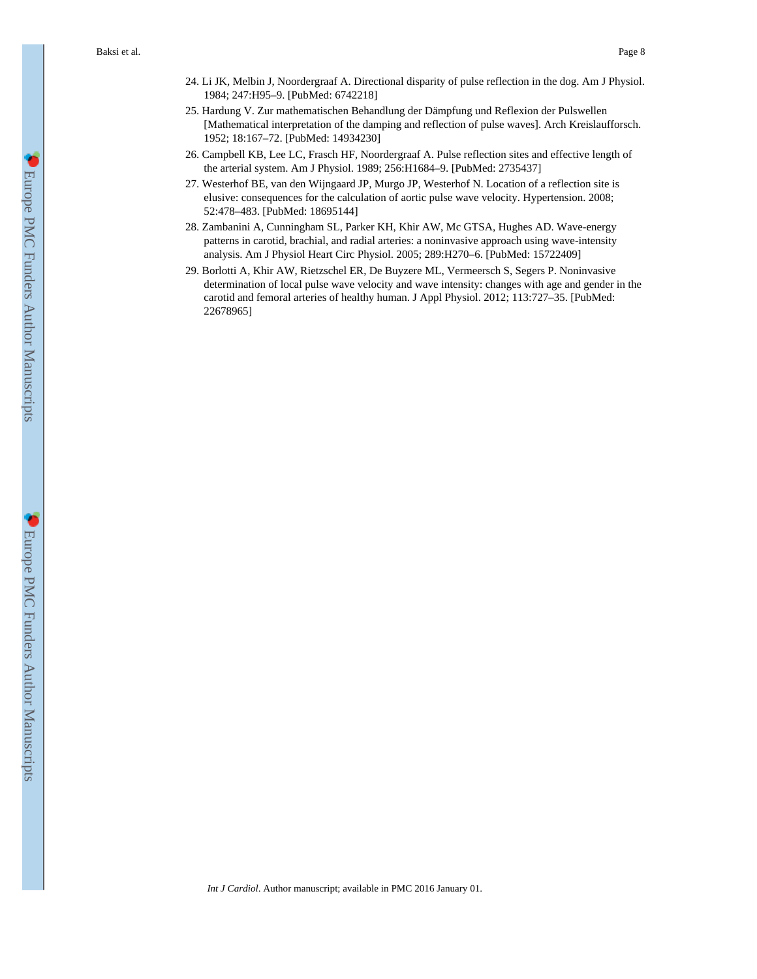- 24. Li JK, Melbin J, Noordergraaf A. Directional disparity of pulse reflection in the dog. Am J Physiol. 1984; 247:H95–9. [PubMed: 6742218]
- 25. Hardung V. Zur mathematischen Behandlung der Dämpfung und Reflexion der Pulswellen [Mathematical interpretation of the damping and reflection of pulse waves]. Arch Kreislaufforsch. 1952; 18:167–72. [PubMed: 14934230]
- 26. Campbell KB, Lee LC, Frasch HF, Noordergraaf A. Pulse reflection sites and effective length of the arterial system. Am J Physiol. 1989; 256:H1684–9. [PubMed: 2735437]
- 27. Westerhof BE, van den Wijngaard JP, Murgo JP, Westerhof N. Location of a reflection site is elusive: consequences for the calculation of aortic pulse wave velocity. Hypertension. 2008; 52:478–483. [PubMed: 18695144]
- 28. Zambanini A, Cunningham SL, Parker KH, Khir AW, Mc GTSA, Hughes AD. Wave-energy patterns in carotid, brachial, and radial arteries: a noninvasive approach using wave-intensity analysis. Am J Physiol Heart Circ Physiol. 2005; 289:H270–6. [PubMed: 15722409]
- 29. Borlotti A, Khir AW, Rietzschel ER, De Buyzere ML, Vermeersch S, Segers P. Noninvasive determination of local pulse wave velocity and wave intensity: changes with age and gender in the carotid and femoral arteries of healthy human. J Appl Physiol. 2012; 113:727–35. [PubMed: 22678965]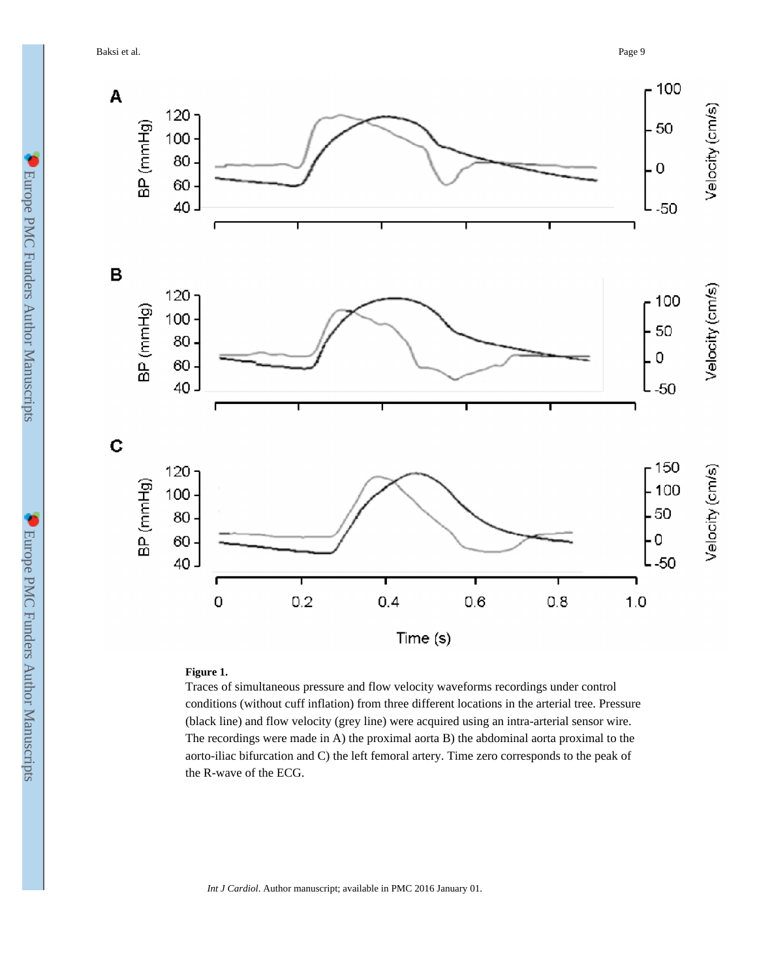Baksi et al. Page 9



## **Figure 1.**

Traces of simultaneous pressure and flow velocity waveforms recordings under control conditions (without cuff inflation) from three different locations in the arterial tree. Pressure (black line) and flow velocity (grey line) were acquired using an intra-arterial sensor wire. The recordings were made in A) the proximal aorta B) the abdominal aorta proximal to the aorto-iliac bifurcation and C) the left femoral artery. Time zero corresponds to the peak of the R-wave of the ECG.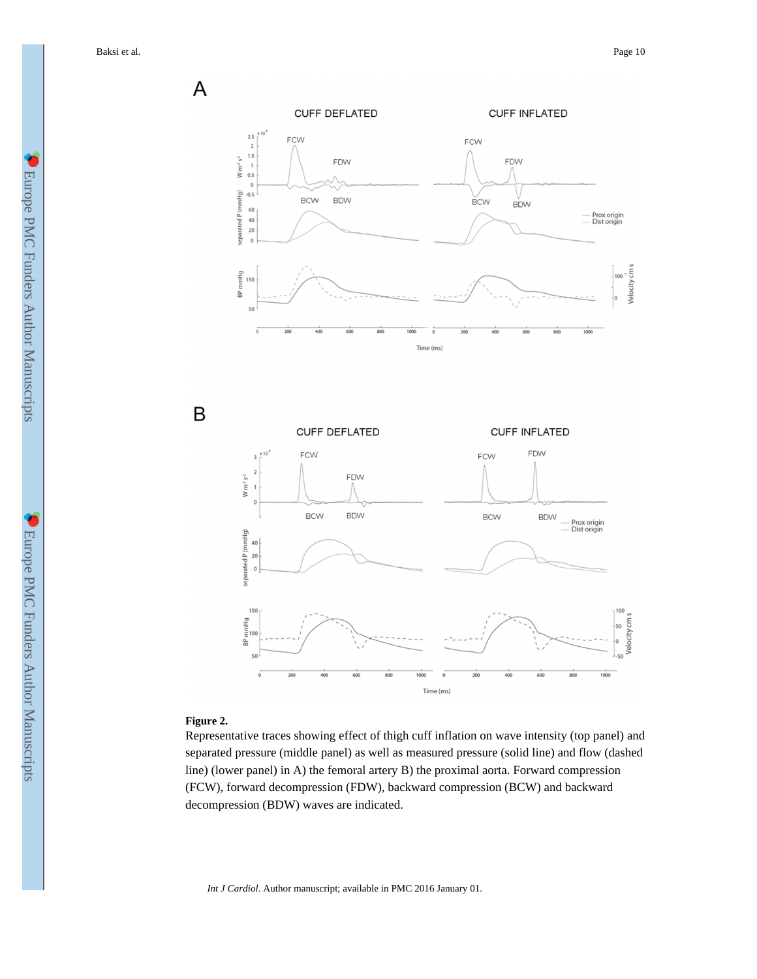P<br>
Velocity cm s

**Jelocity** cm s

 $\overline{A}$ CUFF DEFLATED **CUFF INFLATED**  $2.5$ FCW FCW  $\overline{2}$  $\begin{array}{c} 1.5 \\ 1 \end{array}$  $\ensuremath{\mathsf{W}}\xspace\ensuremath{\mathsf{m}}\xspace^{\text{-2}}\ensuremath{\mathsf{s}}\xspace^{\text{-2}}$ FDW FDW  $0.5\,$  $\circ$ separated P (mmHg)  $-0.5$ **BCW BDW BCW BDW** 60 Prox origin<br>Dist origin  $\frac{40}{20}$  $\overline{a}$ mmHg 150 n<sub>48</sub>  $50$ Time (ms)  $\mathsf B$ CUFF DEFLATED **CUFF INFLATED** FCW FDW FCW FDW  $Wm^2s^2$ **BCW BDW BCW BDW** Prox origin<br>Dist origin separated P (mmHq)  $40$  $\overline{20}$  $\mathfrak{o}$ 150 mmHa RP 50

#### **Figure 2.**

Representative traces showing effect of thigh cuff inflation on wave intensity (top panel) and separated pressure (middle panel) as well as measured pressure (solid line) and flow (dashed line) (lower panel) in A) the femoral artery B) the proximal aorta. Forward compression (FCW), forward decompression (FDW), backward compression (BCW) and backward decompression (BDW) waves are indicated.

Time (ms)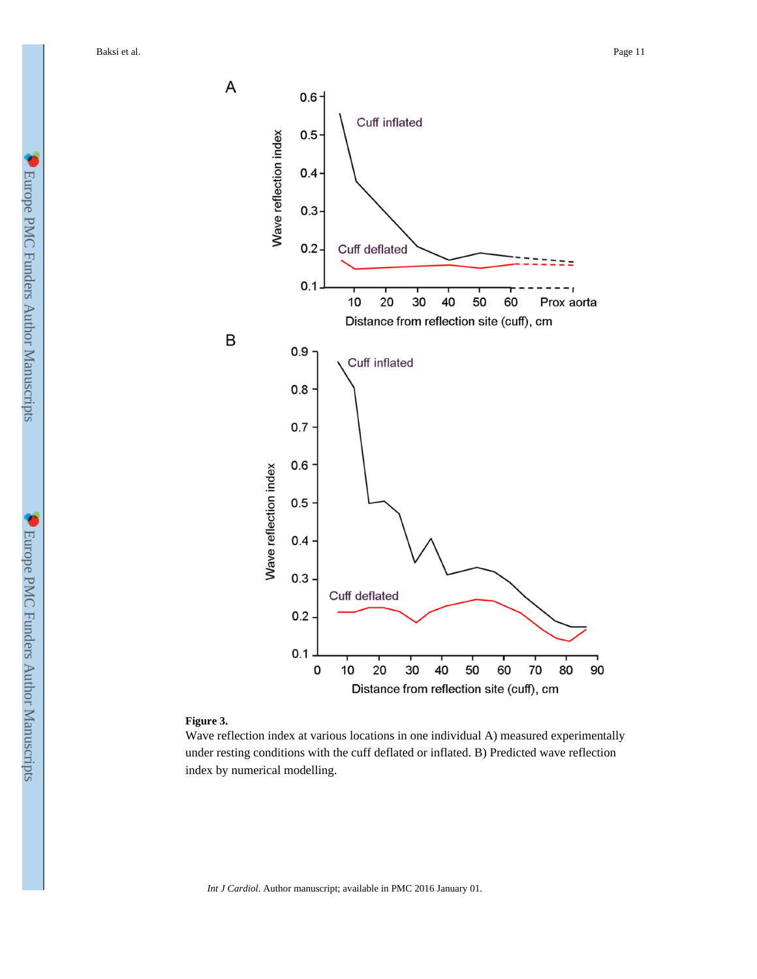Baksi et al. Page 11



#### **Figure 3.**

Wave reflection index at various locations in one individual A) measured experimentally under resting conditions with the cuff deflated or inflated. B) Predicted wave reflection index by numerical modelling.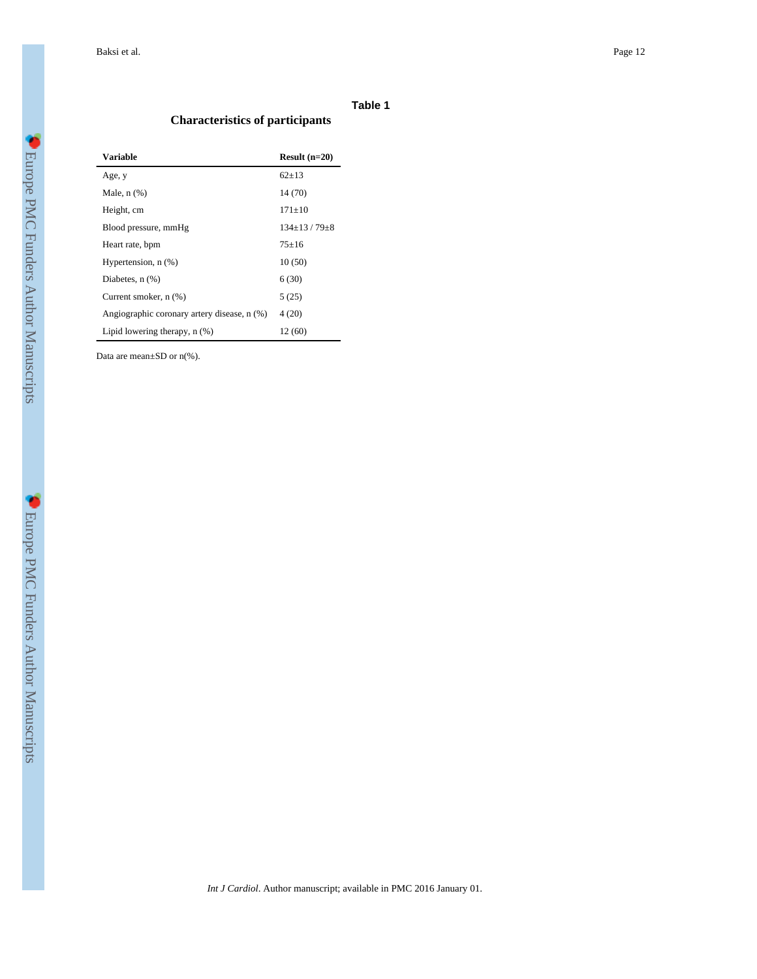#### **Table 1**

# **Characteristics of participants**

| <b>Variable</b>                             | Result $(n=20)$         |  |  |
|---------------------------------------------|-------------------------|--|--|
| Age, y                                      | $62+13$                 |  |  |
| Male, $n$ $(\%)$                            | 14 (70)                 |  |  |
| Height, cm                                  | $171 + 10$              |  |  |
| Blood pressure, mmHg                        | $134 \pm 13 / 79 \pm 8$ |  |  |
| Heart rate, bpm                             | $75+16$                 |  |  |
| Hypertension, n (%)                         | 10(50)                  |  |  |
| Diabetes, $n$ $(\%)$                        | 6(30)                   |  |  |
| Current smoker, n (%)                       | 5(25)                   |  |  |
| Angiographic coronary artery disease, n (%) | 4(20)                   |  |  |
| Lipid lowering therapy, $n$ $(\%)$          | 12 (60)                 |  |  |

Data are mean±SD or n(%).